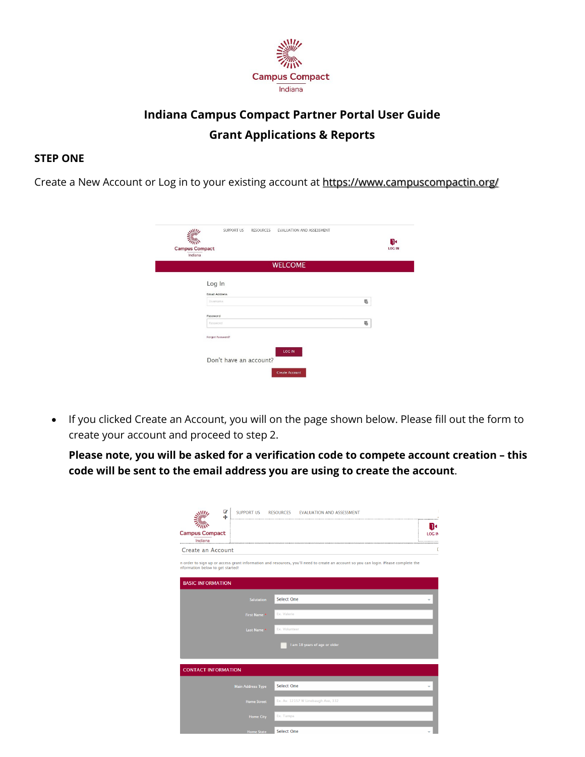

# **Indiana Campus Compact Partner Portal User Guide Grant Applications & Reports**

### **STEP ONE**

Create a New Account or Log in to your existing account at<https://www.campuscompactin.org/>

|                                  |                        |                |   | D٠<br><b>LOG IN</b> |
|----------------------------------|------------------------|----------------|---|---------------------|
| <b>Campus Compact</b><br>Indiana |                        |                |   |                     |
|                                  |                        | <b>WELCOME</b> |   |                     |
|                                  | Log In                 |                |   |                     |
|                                  | Email Address          |                |   |                     |
|                                  | Username               |                | 局 |                     |
|                                  | Password               |                |   |                     |
|                                  | Password               |                | 喝 |                     |
|                                  | Forgot Password?       |                |   |                     |
|                                  | Don't have an account? | <b>LOG IN</b>  |   |                     |
|                                  |                        |                |   |                     |

• If you clicked Create an Account, you will on the page shown below. Please fill out the form to create your account and proceed to step 2.

**Please note, you will be asked for a verification code to compete account creation – this code will be sent to the email address you are using to create the account**.

| €<br>4                           | SUPPORT US RESOURCES EVALUATION AND ASSESSMENT<br>                                                                                   |
|----------------------------------|--------------------------------------------------------------------------------------------------------------------------------------|
| <b>Campus Compact</b>            | <b>LOG IN</b>                                                                                                                        |
| Indiana                          | ,,,,,,,,,,,,,,,,,,,,,,,,,,                                                                                                           |
| Create an Account                | G                                                                                                                                    |
| nformation below to get started! | n order to sign up or access grant information and resources, you'll need to create an account so you can login. Please complete the |
| <b>BASIC INFORMATION</b>         |                                                                                                                                      |
|                                  |                                                                                                                                      |
| <b>Salutation</b>                | <b>Select One</b>                                                                                                                    |
| First Name *                     | Ex. Valerie                                                                                                                          |
| Last Name <sup>*</sup>           | Ex. Volunteer                                                                                                                        |
|                                  |                                                                                                                                      |
|                                  | I am 18 years of age or older                                                                                                        |
|                                  |                                                                                                                                      |
| <b>CONTACT INFORMATION</b>       |                                                                                                                                      |
| <b>Main Address Type</b>         | <b>Select One</b>                                                                                                                    |
|                                  |                                                                                                                                      |
| <b>Home Street</b>               | Ex. Av. 12157 W Linebaugh Ave, 332                                                                                                   |
| <b>Home City</b>                 | Ex. Tampa                                                                                                                            |
| <b>Home State</b>                | <b>Select One</b>                                                                                                                    |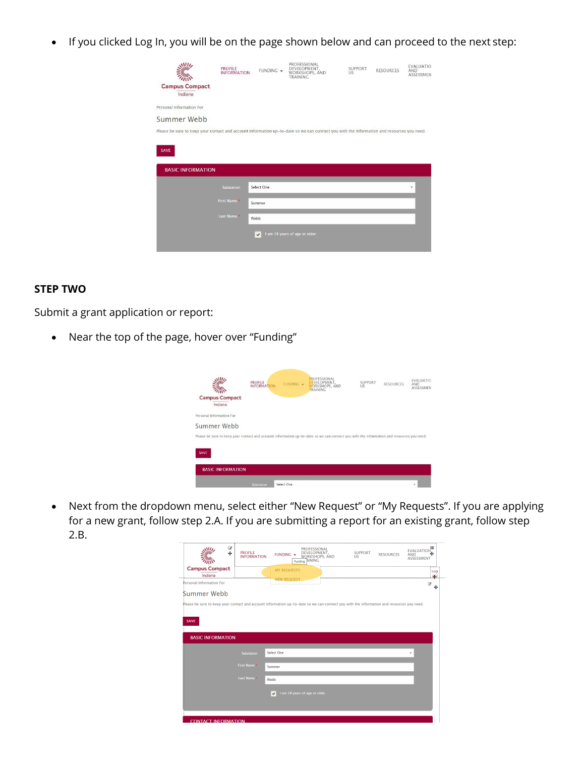• If you clicked Log In, you will be on the page shown below and can proceed to the next step:

| <b>Campus Compact</b><br>Indiana                                                                                                          | <b>PROFILE</b><br><b>INFORMATION</b> | $FUNDING -$  | PROFESSIONAL<br>DEVELOPMENT,<br>WORKSHOPS, AND<br><b>TRAINING</b> | SUPPORT<br><b>US</b> | <b>RESOURCES</b> | EVALUATIO<br>AND<br>ASSESSMEN |
|-------------------------------------------------------------------------------------------------------------------------------------------|--------------------------------------|--------------|-------------------------------------------------------------------|----------------------|------------------|-------------------------------|
| Personal Information For                                                                                                                  |                                      |              |                                                                   |                      |                  |                               |
| Summer Webb                                                                                                                               |                                      |              |                                                                   |                      |                  |                               |
| Please be sure to keep your contact and account information up-to-date so we can connect you with the information and resources you need. |                                      |              |                                                                   |                      |                  |                               |
| <b>SAVE</b><br><b>BASIC INFORMATION</b>                                                                                                   |                                      |              |                                                                   |                      |                  |                               |
|                                                                                                                                           | <b>Salutation</b>                    | Select One   |                                                                   |                      |                  | $\mathbf{v}$                  |
|                                                                                                                                           | First Name *                         |              |                                                                   |                      |                  |                               |
|                                                                                                                                           |                                      | Summer       |                                                                   |                      |                  |                               |
|                                                                                                                                           | Last Name *                          | Webb         |                                                                   |                      |                  |                               |
|                                                                                                                                           |                                      | $\checkmark$ | I am 18 years of age or older                                     |                      |                  |                               |

#### **STEP TWO**

Submit a grant application or report:

• Near the top of the page, hover over "Funding"

| <b>Campus Compact</b><br>Indiana                                                                                                          | <b>PROFILE</b><br><b>INFORMATION</b> | $FUNDING \rightarrow$ | PROFESSIONAL<br>DEVELOPMENT,<br><b>WORKSHOPS, AND</b><br>TRAINING | SUPPORT<br><b>US</b> | <b>RESOURCES</b> | EVALUATIO<br>AND<br>ASSESSMEN |
|-------------------------------------------------------------------------------------------------------------------------------------------|--------------------------------------|-----------------------|-------------------------------------------------------------------|----------------------|------------------|-------------------------------|
| Personal Information For                                                                                                                  |                                      |                       |                                                                   |                      |                  |                               |
| Summer Webb                                                                                                                               |                                      |                       |                                                                   |                      |                  |                               |
| Please be sure to keep your contact and account information up-to-date so we can connect you with the information and resources you need. |                                      |                       |                                                                   |                      |                  |                               |
| <b>SAVE</b>                                                                                                                               |                                      |                       |                                                                   |                      |                  |                               |
| <b>BASIC INFORMATION</b>                                                                                                                  |                                      |                       |                                                                   |                      |                  |                               |
|                                                                                                                                           | <b>Salutation</b>                    | Select One            |                                                                   |                      |                  | v                             |

• Next from the dropdown menu, select either "New Request" or "My Requests". If you are applying for a new grant, follow step 2.A. If you are submitting a report for an existing grant, follow step 2.B.

| Ø<br>÷                     | <b>PROFILE</b><br><b>INFORMATION</b> | ⊨<br><b>PROFESSIONAL</b><br><b>EVALUATION</b><br>DEVELOPMENT,<br><b>SUPPORT</b><br>FUNDING +<br><b>RESOURCES</b><br><b>AND</b><br><b>WORKSHOPS, AND</b><br><b>TIS</b><br><b>ASSESSMENT</b><br>Funding AINING |     |
|----------------------------|--------------------------------------|--------------------------------------------------------------------------------------------------------------------------------------------------------------------------------------------------------------|-----|
| <b>Campus Compact</b>      |                                      | <b>MY REQUESTS</b>                                                                                                                                                                                           | Log |
| Indiana                    | ,,,,,,,,,,,,,,,,,,,,,,,,,            | <b>NEW REQUEST</b>                                                                                                                                                                                           | ٩V  |
| Personal Information For   |                                      | ø                                                                                                                                                                                                            | 4   |
| Summer Webb                |                                      |                                                                                                                                                                                                              |     |
|                            |                                      | Please be sure to keep your contact and account information up-to-date so we can connect you with the information and resources you need.                                                                    |     |
|                            |                                      |                                                                                                                                                                                                              |     |
|                            |                                      |                                                                                                                                                                                                              |     |
| <b>SAVE</b>                |                                      |                                                                                                                                                                                                              |     |
|                            |                                      |                                                                                                                                                                                                              |     |
| <b>BASIC INFORMATION</b>   |                                      |                                                                                                                                                                                                              |     |
|                            |                                      |                                                                                                                                                                                                              |     |
|                            | <b>Salutation</b>                    | <b>Select One</b><br>v                                                                                                                                                                                       |     |
|                            |                                      |                                                                                                                                                                                                              |     |
|                            | First Name *                         | Summer                                                                                                                                                                                                       |     |
|                            | Last Name *                          | Webb                                                                                                                                                                                                         |     |
|                            |                                      |                                                                                                                                                                                                              |     |
|                            |                                      | I am 18 years of age or older<br>✓                                                                                                                                                                           |     |
|                            |                                      |                                                                                                                                                                                                              |     |
|                            |                                      |                                                                                                                                                                                                              |     |
|                            |                                      |                                                                                                                                                                                                              |     |
| <b>CONTACT INFORMATION</b> |                                      |                                                                                                                                                                                                              |     |
|                            |                                      |                                                                                                                                                                                                              |     |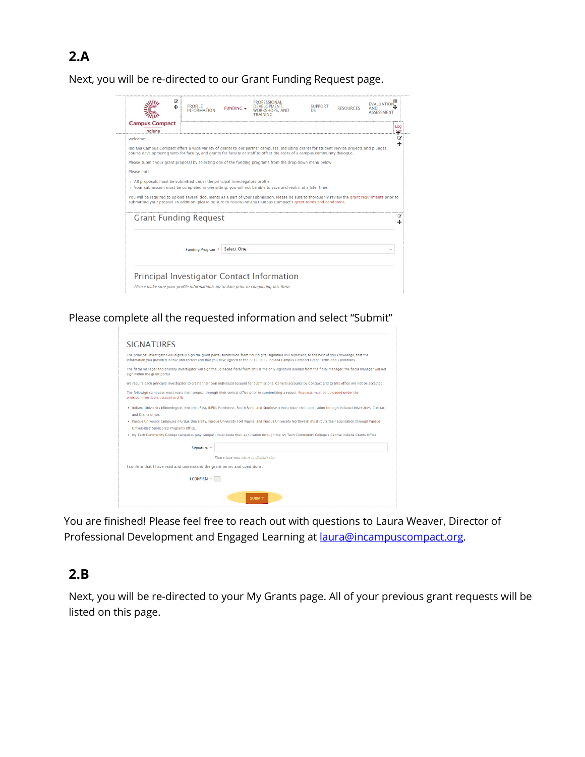# **2.A**

Next, you will be re-directed to our Grant Funding Request page.

| submitting your propsal. In addition, please be sure to review Indiana Campus Compact's grant terms and conditions.<br><b>Grant Funding Request</b>                                                                                                                                                                                                                                                                                                                                   |                                      | <b>Select One</b>            |                                                                                                                                                                                                                                                                   |                             |                  |                                      |
|---------------------------------------------------------------------------------------------------------------------------------------------------------------------------------------------------------------------------------------------------------------------------------------------------------------------------------------------------------------------------------------------------------------------------------------------------------------------------------------|--------------------------------------|------------------------------|-------------------------------------------------------------------------------------------------------------------------------------------------------------------------------------------------------------------------------------------------------------------|-----------------------------|------------------|--------------------------------------|
|                                                                                                                                                                                                                                                                                                                                                                                                                                                                                       |                                      |                              |                                                                                                                                                                                                                                                                   |                             |                  |                                      |
| Indiana Campus Compact offers a wide variety of grants to our partner campuses, including grants for student service projects and plunges,<br>course development grants for faculty, and grants for faculty or staff to offset the costs of a campus community dialogue.<br>Please submit your grant proposal by selecting one of the funding programs from the drop down menu below.<br>Please note:<br>. All proposals must be submitted under the principal investegators profile. |                                      |                              | . Your submission must be completed in one sitting, you will not be able to save and reutrn at a later time.<br>You will be required to upload several documents as a part of your submission. Please be sure to thoroughly review the grant requirments prior to |                             |                  |                                      |
| <b>Campus Compact</b><br>Indiana<br>Welcome                                                                                                                                                                                                                                                                                                                                                                                                                                           |                                      |                              |                                                                                                                                                                                                                                                                   |                             |                  |                                      |
|                                                                                                                                                                                                                                                                                                                                                                                                                                                                                       | <b>PROFILE</b><br><b>INFORMATION</b> | <b>FUNDING</b> $\rightarrow$ | <b>PROFESSIONAL</b><br>DEVELOPMENT.<br><b>WORKSHOPS, AND</b><br><b>TRAINING</b>                                                                                                                                                                                   | <b>SUPPORT</b><br><b>US</b> | <b>RESOURCES</b> | <b>EVALUATIC</b><br><b>ASSESSMEN</b> |

Please complete all the requested information and select "Submit"

| <b>SIGNATURES</b>                                                         |                                                                                                                                                                                                                                                                                                             |
|---------------------------------------------------------------------------|-------------------------------------------------------------------------------------------------------------------------------------------------------------------------------------------------------------------------------------------------------------------------------------------------------------|
|                                                                           |                                                                                                                                                                                                                                                                                                             |
|                                                                           | The principal investigator will digitally sign the grant portal submission form. Your digital signature will represent, to the best of you knowledge, that the<br>information you provided is true and correct and that you have agreed to the 2019-2022 Indiana Campus Compact Grant Terms and Conditions. |
| sign within the grant portal.                                             | The fiscal manager and primary investigator will sign the uploaded fiscal form. This is the only signature needed from the ficsal manager; the fiscal manager will not                                                                                                                                      |
|                                                                           | We require each principle investigator to create their own individual account for submissions. Ceneral accounts by Contract and Crants office will not be accepted.                                                                                                                                         |
| principal Investigors account profile.                                    | The followign campuses must route their propsal through their central office prior to sumbmitting a regust. Requests must be uploaded under the                                                                                                                                                             |
| and Crants office.                                                        | . Indiana University (Bloomington, Kokomo, East, IUPUI, Northwest, South Bend, and Southeast) must route their application through Indiana Universities' Contract                                                                                                                                           |
|                                                                           | . Purdue University campuses (Purdue University, Purdue University Fort Wayne, and Purdue University Northwest) must route their application through Purdue                                                                                                                                                 |
| Universities' Sponsored Programs office.                                  |                                                                                                                                                                                                                                                                                                             |
|                                                                           | . Ivy Tech Community College campuses (any campus) must route their application through the Ivy Tech Community College's Central Indiana Crants Office                                                                                                                                                      |
| Signature *                                                               |                                                                                                                                                                                                                                                                                                             |
|                                                                           | Please type your name to digitally sign                                                                                                                                                                                                                                                                     |
| I confirm that I have read and understand the grant terms and conditions. |                                                                                                                                                                                                                                                                                                             |
| <b>I CONFIRM</b>                                                          |                                                                                                                                                                                                                                                                                                             |
|                                                                           |                                                                                                                                                                                                                                                                                                             |
|                                                                           | <b>SUBMIT</b>                                                                                                                                                                                                                                                                                               |

You are finished! Please feel free to reach out with questions to Laura Weaver, Director of Professional Development and Engaged Learning at [laura@incampuscompact.org.](mailto:laura@incampuscompact.org)

### **2.B**

Next, you will be re-directed to your My Grants page. All of your previous grant requests will be listed on this page.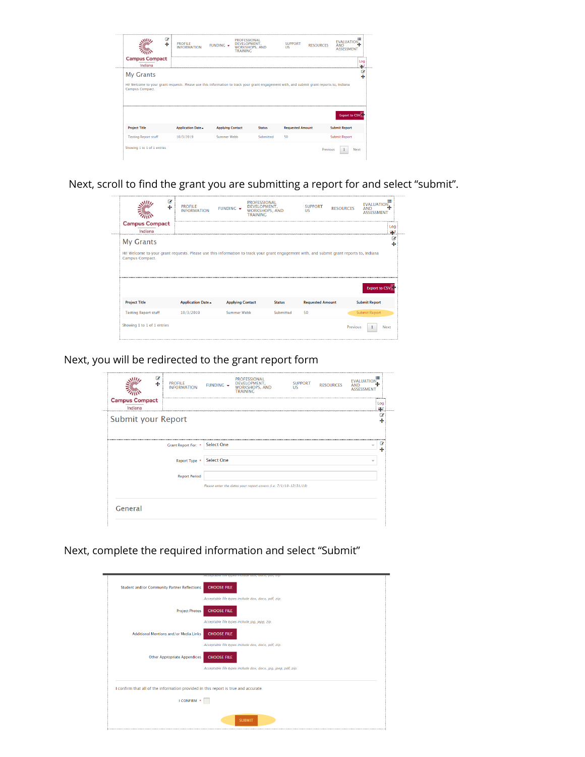|                                                                                                                                                              | PROFILE<br>INFORMATION |                         | FUNDING - DEVELOPMENT,<br><b>TRAINING</b> |                         | <b>ASSESSMENT</b>    |
|--------------------------------------------------------------------------------------------------------------------------------------------------------------|------------------------|-------------------------|-------------------------------------------|-------------------------|----------------------|
| <b>Campus Compact</b><br>Indiana                                                                                                                             |                        |                         |                                           |                         | Log                  |
| <b>My Grants</b>                                                                                                                                             |                        |                         |                                           |                         |                      |
| Hi! Welcome to your grant requests. Please use this information to track your grant engagement with, and submit grant reports to, Indiana<br>Campus Compact. |                        |                         |                                           |                         |                      |
|                                                                                                                                                              |                        |                         |                                           |                         | <b>Export to CSV</b> |
| <b>Project Title</b>                                                                                                                                         | Application Date .     | <b>Applying Contact</b> | <b>Status</b>                             | <b>Requested Amount</b> | <b>Submit Report</b> |

Next, scroll to find the grant you are submitting a report for and select "submit".

| 4                                                   | PROFILE<br>INFORMATION  |                         | <b>PROFESSIONAL</b><br>FUNDING - DEVELOPMENT,<br><b>TRAINING</b> | SUPPORT<br>US           | <b>RESOURCES</b> | <b>EVALUATION</b><br><b>AND</b><br><b>ASSESSMENT</b> |
|-----------------------------------------------------|-------------------------|-------------------------|------------------------------------------------------------------|-------------------------|------------------|------------------------------------------------------|
| <b>Campus Compact</b><br>Indiana                    |                         |                         |                                                                  |                         |                  | Log                                                  |
| <b>My Grants</b>                                    |                         |                         |                                                                  |                         |                  | ☑<br>4                                               |
| Campus Compact.                                     |                         |                         |                                                                  |                         |                  |                                                      |
|                                                     |                         |                         |                                                                  |                         |                  |                                                      |
|                                                     |                         |                         |                                                                  |                         |                  | <b>Export to CSV</b>                                 |
|                                                     | <b>Application Date</b> | <b>Applying Contact</b> | <b>Status</b>                                                    | <b>Requested Amount</b> |                  | <b>Submit Report</b>                                 |
| <b>Project Title</b><br><b>Testing Report stuff</b> | 10/3/2019               | Summer Webb             | Submitted                                                        | 50                      |                  | <b>Submit Report</b>                                 |

Next, you will be redirected to the grant report form

| <b>Campus Compact</b><br>Indiana | PROFILE<br>INFORMATION | FUNDING $\star$   | PROFESSIONAL<br>DEVELOPMENT,<br>WORKSHOPS, AND<br>TRAINING       | SUPPORT<br>US | <b>RESOURCES</b> | <b>EVALUATIOI</b><br><b>ASSESSMENT</b><br>------<br>Log<br>ا#. |
|----------------------------------|------------------------|-------------------|------------------------------------------------------------------|---------------|------------------|----------------------------------------------------------------|
| Submit your Report               |                        |                   |                                                                  |               |                  |                                                                |
|                                  | Grant Report For: *    | <b>Select One</b> |                                                                  |               |                  |                                                                |
|                                  | Report Type *          | <b>Select One</b> |                                                                  |               |                  | ÷                                                              |
|                                  | <b>Report Period</b>   |                   |                                                                  |               |                  |                                                                |
|                                  |                        |                   | Please enter the dates your report covers (i.e. 7/1/19-12/31/19) |               |                  |                                                                |
| General                          |                        |                   |                                                                  |               |                  |                                                                |

Next, complete the required information and select "Submit"

|                                                                                     | <u>κετεριασίε της τγρεύ πιεισας αυλ, αυτλ, ραι, zip</u>       |
|-------------------------------------------------------------------------------------|---------------------------------------------------------------|
| Student and/or Community Partner Reflections                                        | <b>CHOOSE FILE</b>                                            |
|                                                                                     | Acceptable file types include dox, docx, pdf, zip,            |
| <b>Project Photos</b>                                                               | <b>CHOOSE FILE</b>                                            |
|                                                                                     | Acceptable file types include jpg, jepg, zip.                 |
| Additional Mentions and/or Media Links                                              | <b>CHOOSE FILE</b>                                            |
|                                                                                     | Acceptable file types include dox, docx, pdf, zip.            |
| <b>Other Appropriate Appendices</b>                                                 | <b>CHOOSE FILE</b>                                            |
|                                                                                     | Acceptable file types include dox, docx, jpg, jpeg, pdf, zip. |
| I confirm that all of the information provided in this report is true and accurate. |                                                               |
| I CONFIRM *                                                                         |                                                               |
|                                                                                     | <b>SUBMIT</b>                                                 |